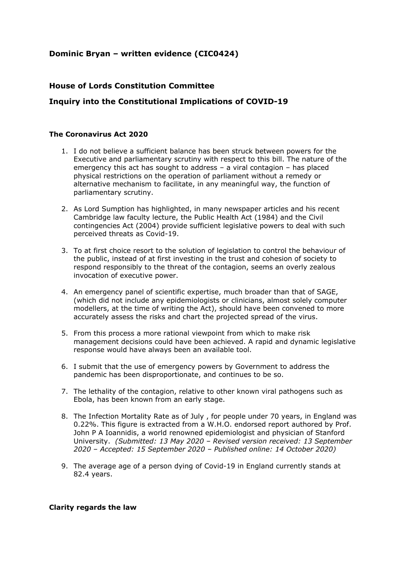# **Dominic Bryan – written evidence (CIC0424)**

### **House of Lords Constitution Committee**

## **Inquiry into the Constitutional Implications of COVID-19**

### **The Coronavirus Act 2020**

- 1. I do not believe a sufficient balance has been struck between powers for the Executive and parliamentary scrutiny with respect to this bill. The nature of the emergency this act has sought to address – a viral contagion – has placed physical restrictions on the operation of parliament without a remedy or alternative mechanism to facilitate, in any meaningful way, the function of parliamentary scrutiny.
- 2. As Lord Sumption has highlighted, in many newspaper articles and his recent Cambridge law faculty lecture, the Public Health Act (1984) and the Civil contingencies Act (2004) provide sufficient legislative powers to deal with such perceived threats as Covid-19.
- 3. To at first choice resort to the solution of legislation to control the behaviour of the public, instead of at first investing in the trust and cohesion of society to respond responsibly to the threat of the contagion, seems an overly zealous invocation of executive power.
- 4. An emergency panel of scientific expertise, much broader than that of SAGE, (which did not include any epidemiologists or clinicians, almost solely computer modellers, at the time of writing the Act), should have been convened to more accurately assess the risks and chart the projected spread of the virus.
- 5. From this process a more rational viewpoint from which to make risk management decisions could have been achieved. A rapid and dynamic legislative response would have always been an available tool.
- 6. I submit that the use of emergency powers by Government to address the pandemic has been disproportionate, and continues to be so.
- 7. The lethality of the contagion, relative to other known viral pathogens such as Ebola, has been known from an early stage.
- 8. The Infection Mortality Rate as of July , for people under 70 years, in England was 0.22%. This figure is extracted from a W.H.O. endorsed report authored by Prof. John P A Ioannidis, a world renowned epidemiologist and physician of Stanford University. *(Submitted: 13 May 2020 – Revised version received: 13 September 2020 – Accepted: 15 September 2020 – Published online: 14 October 2020)*
- 9. The average age of a person dying of Covid-19 in England currently stands at 82.4 years.

#### **Clarity regards the law**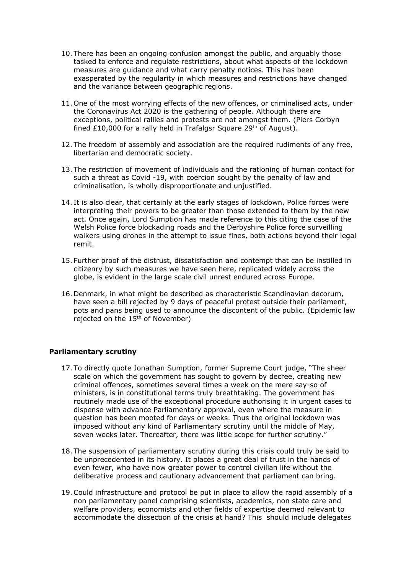- 10. There has been an ongoing confusion amongst the public, and arguably those tasked to enforce and regulate restrictions, about what aspects of the lockdown measures are guidance and what carry penalty notices. This has been exasperated by the regularity in which measures and restrictions have changed and the variance between geographic regions.
- 11. One of the most worrying effects of the new offences, or criminalised acts, under the Coronavirus Act 2020 is the gathering of people. Although there are exceptions, political rallies and protests are not amongst them. (Piers Corbyn fined £10,000 for a rally held in Trafalgsr Square 29<sup>th</sup> of August).
- 12. The freedom of assembly and association are the required rudiments of any free, libertarian and democratic society.
- 13. The restriction of movement of individuals and the rationing of human contact for such a threat as Covid -19, with coercion sought by the penalty of law and criminalisation, is wholly disproportionate and unjustified.
- 14. It is also clear, that certainly at the early stages of lockdown, Police forces were interpreting their powers to be greater than those extended to them by the new act. Once again, Lord Sumption has made reference to this citing the case of the Welsh Police force blockading roads and the Derbyshire Police force surveilling walkers using drones in the attempt to issue fines, both actions beyond their legal remit.
- 15. Further proof of the distrust, dissatisfaction and contempt that can be instilled in citizenry by such measures we have seen here, replicated widely across the globe, is evident in the large scale civil unrest endured across Europe.
- 16. Denmark, in what might be described as characteristic Scandinavian decorum, have seen a bill rejected by 9 days of peaceful protest outside their parliament, pots and pans being used to announce the discontent of the public. (Epidemic law rejected on the 15th of November)

### **Parliamentary scrutiny**

- 17. To directly quote Jonathan Sumption, former Supreme Court judge, "The sheer scale on which the government has sought to govern by decree, creating new criminal offences, sometimes several times a week on the mere say-so of ministers, is in constitutional terms truly breathtaking. The government has routinely made use of the exceptional procedure authorising it in urgent cases to dispense with advance Parliamentary approval, even where the measure in question has been mooted for days or weeks. Thus the original lockdown was imposed without any kind of Parliamentary scrutiny until the middle of May, seven weeks later. Thereafter, there was little scope for further scrutiny."
- 18. The suspension of parliamentary scrutiny during this crisis could truly be said to be unprecedented in its history. It places a great deal of trust in the hands of even fewer, who have now greater power to control civilian life without the deliberative process and cautionary advancement that parliament can bring.
- 19.Could infrastructure and protocol be put in place to allow the rapid assembly of a non parliamentary panel comprising scientists, academics, non state care and welfare providers, economists and other fields of expertise deemed relevant to accommodate the dissection of the crisis at hand? This should include delegates